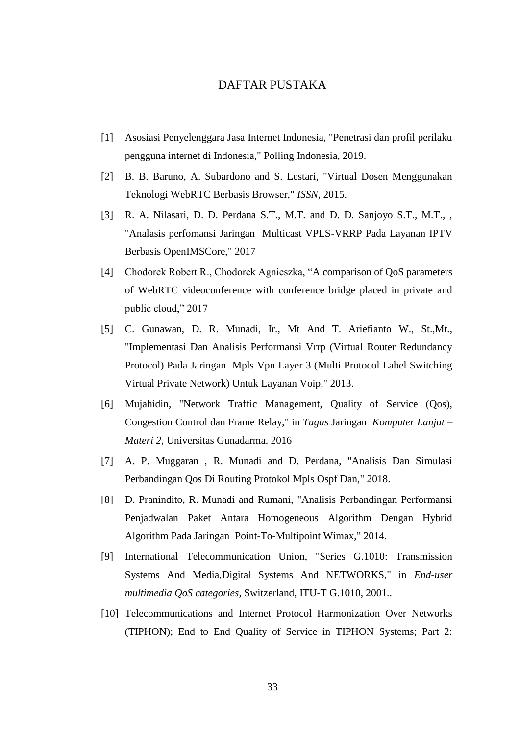## DAFTAR PUSTAKA

- [1] Asosiasi Penyelenggara Jasa Internet Indonesia, "Penetrasi dan profil perilaku pengguna internet di Indonesia," Polling Indonesia, 2019.
- [2] B. B. Baruno, A. Subardono and S. Lestari, "Virtual Dosen Menggunakan Teknologi WebRTC Berbasis Browser," *ISSN,* 2015.
- [3] R. A. Nilasari, D. D. Perdana S.T., M.T. and D. D. Sanjoyo S.T., M.T., , "Analasis perfomansi Jaringan Multicast VPLS-VRRP Pada Layanan IPTV Berbasis OpenIMSCore," 2017
- [4] Chodorek Robert R., Chodorek Agnieszka, "A comparison of QoS parameters of WebRTC videoconference with conference bridge placed in private and public cloud," 2017
- [5] C. Gunawan, D. R. Munadi, Ir., Mt And T. Ariefianto W., St.,Mt., "Implementasi Dan Analisis Performansi Vrrp (Virtual Router Redundancy Protocol) Pada Jaringan Mpls Vpn Layer 3 (Multi Protocol Label Switching Virtual Private Network) Untuk Layanan Voip," 2013.
- [6] Mujahidin, "Network Traffic Management, Quality of Service (Qos), Congestion Control dan Frame Relay," in *Tugas* Jaringan *Komputer Lanjut – Materi 2*, Universitas Gunadarma. 2016
- [7] A. P. Muggaran , R. Munadi and D. Perdana, "Analisis Dan Simulasi Perbandingan Qos Di Routing Protokol Mpls Ospf Dan," 2018.
- [8] D. Pranindito, R. Munadi and Rumani, "Analisis Perbandingan Performansi Penjadwalan Paket Antara Homogeneous Algorithm Dengan Hybrid Algorithm Pada Jaringan Point-To-Multipoint Wimax," 2014.
- [9] International Telecommunication Union, "Series G.1010: Transmission Systems And Media,Digital Systems And NETWORKS," in *End-user multimedia QoS categories*, Switzerland, ITU-T G.1010, 2001..
- [10] Telecommunications and Internet Protocol Harmonization Over Networks (TIPHON); End to End Quality of Service in TIPHON Systems; Part 2: